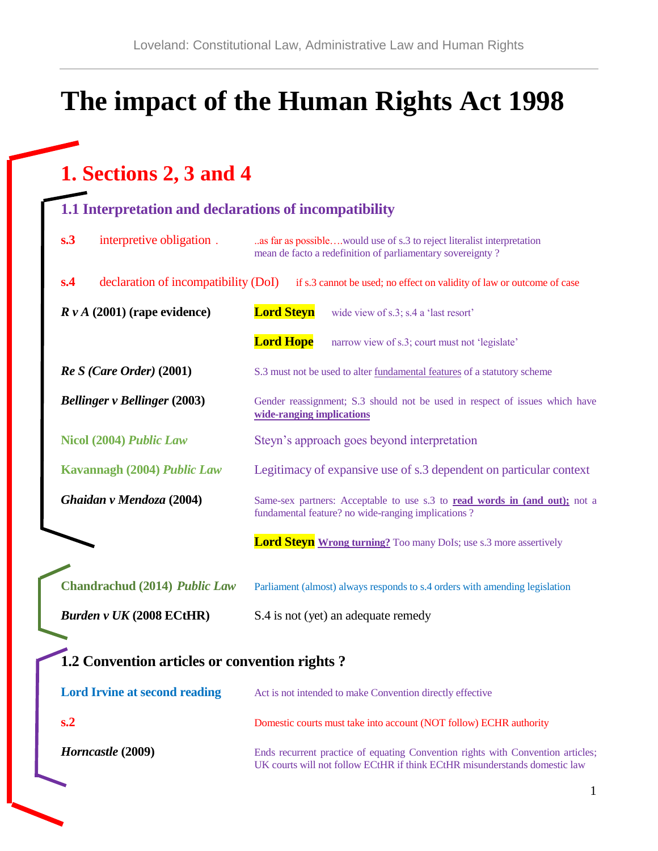# **The impact of the Human Rights Act 1998**

### **1. Sections 2, 3 and 4**

#### **1.1 Interpretation and declarations of incompatibility**

| s.3<br>interpretive obligation.               | as far as possiblewould use of s.3 to reject literalist interpretation<br>mean de facto a redefinition of parliamentary sovereignty?                          |  |  |
|-----------------------------------------------|---------------------------------------------------------------------------------------------------------------------------------------------------------------|--|--|
| declaration of incompatibility (DoI)<br>s.4   | if s.3 cannot be used; no effect on validity of law or outcome of case                                                                                        |  |  |
| $R v A$ (2001) (rape evidence)                | <b>Lord Steyn</b><br>wide view of s.3; s.4 a 'last resort'                                                                                                    |  |  |
|                                               | <b>Lord Hope</b><br>narrow view of s.3; court must not 'legislate'                                                                                            |  |  |
| $Re S$ (Care Order) (2001)                    | S.3 must not be used to alter fundamental features of a statutory scheme                                                                                      |  |  |
| <b>Bellinger v Bellinger (2003)</b>           | Gender reassignment; S.3 should not be used in respect of issues which have<br>wide-ranging implications                                                      |  |  |
| Nicol (2004) Public Law                       | Steyn's approach goes beyond interpretation                                                                                                                   |  |  |
| Kavannagh (2004) Public Law                   | Legitimacy of expansive use of s.3 dependent on particular context                                                                                            |  |  |
| Ghaidan v Mendoza (2004)                      | Same-sex partners: Acceptable to use s.3 to read words in (and out); not a<br>fundamental feature? no wide-ranging implications ?                             |  |  |
|                                               | <b>Lord Steyn</b> Wrong turning? Too many DoIs; use s.3 more assertively                                                                                      |  |  |
| <b>Chandrachud (2014) Public Law</b>          | Parliament (almost) always responds to s.4 orders with amending legislation                                                                                   |  |  |
| <b>Burden v UK (2008 ECtHR)</b>               | S.4 is not (yet) an adequate remedy                                                                                                                           |  |  |
| 1.2 Convention articles or convention rights? |                                                                                                                                                               |  |  |
| <b>Lord Irvine at second reading</b>          | Act is not intended to make Convention directly effective                                                                                                     |  |  |
| s <sub>2</sub>                                | Domestic courts must take into account (NOT follow) ECHR authority                                                                                            |  |  |
| Horncastle (2009)                             | Ends recurrent practice of equating Convention rights with Convention articles;<br>UK courts will not follow ECtHR if think ECtHR misunderstands domestic law |  |  |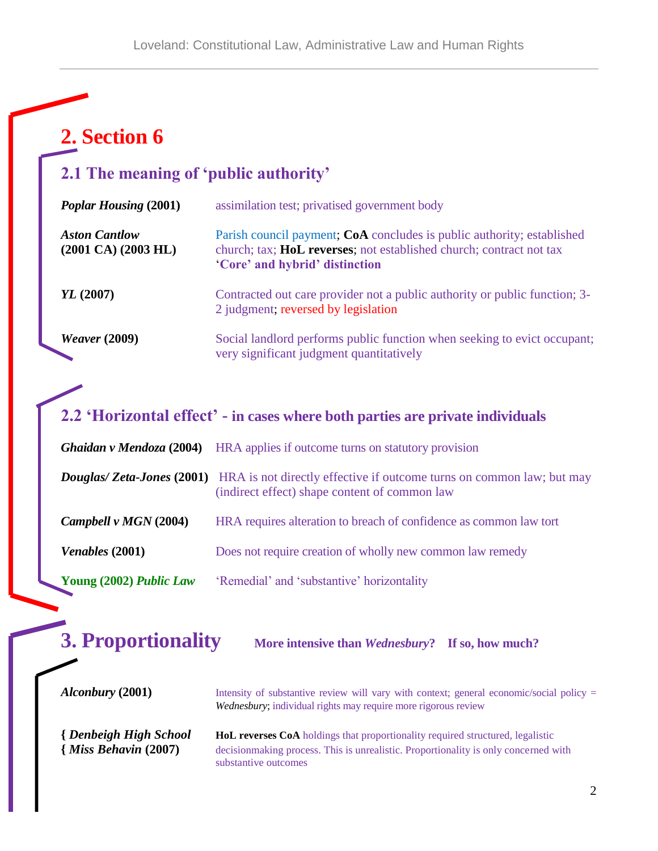## **2. Section 6**

### **2.1 The meaning of 'public authority'**

| <b>Poplar Housing (2001)</b>                                  | assimilation test; privatised government body                                                                                                                                   |
|---------------------------------------------------------------|---------------------------------------------------------------------------------------------------------------------------------------------------------------------------------|
| <b>Aston Cantlow</b><br>$(2001 \text{ CA}) (2003 \text{ HL})$ | Parish council payment; CoA concludes is public authority; established<br>church; tax; HoL reverses; not established church; contract not tax<br>'Core' and hybrid' distinction |
| YL (2007)                                                     | Contracted out care provider not a public authority or public function; 3-<br>2 judgment; reversed by legislation                                                               |
| <i>Weaver</i> (2009)                                          | Social landlord performs public function when seeking to evict occupant;<br>very significant judgment quantitatively                                                            |

### **2.2 'Horizontal effect' - in cases where both parties are private individuals**

|                         | <b>Ghaidan v Mendoza (2004)</b> HRA applies if outcome turns on statutory provision                                                                     |
|-------------------------|---------------------------------------------------------------------------------------------------------------------------------------------------------|
|                         | <b>Douglas/Zeta-Jones (2001)</b> HRA is not directly effective if outcome turns on common law; but may<br>(indirect effect) shape content of common law |
| Campbell v $MGN$ (2004) | HRA requires alteration to breach of confidence as common law tort                                                                                      |
| <i>Venables</i> (2001)  | Does not require creation of wholly new common law remedy                                                                                               |
| Young (2002) Public Law | 'Remedial' and 'substantive' horizontality                                                                                                              |

| <b>3. Proportionality</b>                                  | More intensive than <i>Wednesbury</i> ? If so, how much?                                                                                                                                       |
|------------------------------------------------------------|------------------------------------------------------------------------------------------------------------------------------------------------------------------------------------------------|
| <i>Alconbury</i> (2001)                                    | Intensity of substantive review will vary with context; general economic/social policy $=$<br>Wednesbury; individual rights may require more rigorous review                                   |
| <b>{Denbeigh High School</b><br>$\{Miss Behavior (2007)\}$ | HoL reverses CoA holdings that proportionality required structured, legalistic<br>decision making process. This is unrealistic. Proportionality is only concerned with<br>substantive outcomes |